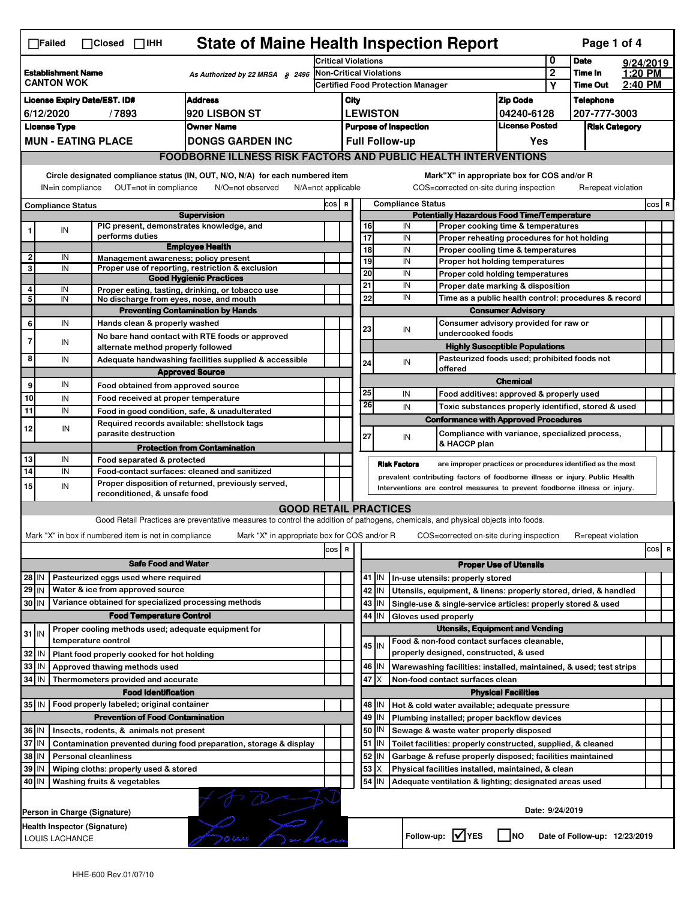|                                                                                                              | <b>State of Maine Health Inspection Report</b><br>Page 1 of 4<br>$\Box$ Failed<br>$\Box$ Closed $\Box$ IHH                                                                                                                                                                            |  |                                                                            |                                                                                                                                   |                            |                                                                            |                                                                              |                 |                                                                                       |                                              |                                                                                   |             |                                                             |           |          |
|--------------------------------------------------------------------------------------------------------------|---------------------------------------------------------------------------------------------------------------------------------------------------------------------------------------------------------------------------------------------------------------------------------------|--|----------------------------------------------------------------------------|-----------------------------------------------------------------------------------------------------------------------------------|----------------------------|----------------------------------------------------------------------------|------------------------------------------------------------------------------|-----------------|---------------------------------------------------------------------------------------|----------------------------------------------|-----------------------------------------------------------------------------------|-------------|-------------------------------------------------------------|-----------|----------|
|                                                                                                              |                                                                                                                                                                                                                                                                                       |  |                                                                            |                                                                                                                                   | <b>Critical Violations</b> |                                                                            |                                                                              |                 |                                                                                       |                                              | 0                                                                                 | <b>Date</b> |                                                             | 9/24/2019 |          |
| <b>Establishment Name</b><br>As Authorized by 22 MRSA § 2496<br><b>CANTON WOK</b>                            |                                                                                                                                                                                                                                                                                       |  |                                                                            | <b>Non-Critical Violations</b><br><b>Certified Food Protection Manager</b>                                                        |                            |                                                                            |                                                                              |                 | $\mathbf 2$<br>Υ                                                                      | Time In<br><b>Time Out</b>                   | 1:20 PM<br>2:40 PM                                                                |             |                                                             |           |          |
|                                                                                                              | <b>Address</b><br><b>License Expiry Date/EST. ID#</b>                                                                                                                                                                                                                                 |  |                                                                            |                                                                                                                                   |                            |                                                                            |                                                                              |                 |                                                                                       |                                              |                                                                                   |             |                                                             |           |          |
| <b>920 LISBON ST</b><br>6/12/2020<br>/7893                                                                   |                                                                                                                                                                                                                                                                                       |  |                                                                            |                                                                                                                                   |                            | City                                                                       |                                                                              |                 | <b>Zip Code</b>                                                                       |                                              | <b>Telephone</b>                                                                  |             |                                                             |           |          |
|                                                                                                              |                                                                                                                                                                                                                                                                                       |  |                                                                            |                                                                                                                                   |                            | <b>LEWISTON</b><br>04240-6128<br><b>License Posted</b>                     |                                                                              |                 | 207-777-3003<br><b>Risk Category</b>                                                  |                                              |                                                                                   |             |                                                             |           |          |
| <b>License Type</b><br><b>Owner Name</b>                                                                     |                                                                                                                                                                                                                                                                                       |  |                                                                            |                                                                                                                                   |                            | <b>Purpose of Inspection</b><br><b>Full Follow-up</b><br>Yes               |                                                                              |                 |                                                                                       |                                              |                                                                                   |             |                                                             |           |          |
|                                                                                                              | <b>MUN - EATING PLACE</b><br><b>DONGS GARDEN INC</b>                                                                                                                                                                                                                                  |  |                                                                            |                                                                                                                                   |                            |                                                                            |                                                                              |                 |                                                                                       |                                              |                                                                                   |             |                                                             |           |          |
|                                                                                                              | <b>FOODBORNE ILLNESS RISK FACTORS AND PUBLIC HEALTH INTERVENTIONS</b>                                                                                                                                                                                                                 |  |                                                                            |                                                                                                                                   |                            |                                                                            |                                                                              |                 |                                                                                       |                                              |                                                                                   |             |                                                             |           |          |
|                                                                                                              | Circle designated compliance status (IN, OUT, N/O, N/A) for each numbered item<br>Mark"X" in appropriate box for COS and/or R<br>IN=in compliance<br>OUT=not in compliance<br>N/O=not observed<br>N/A=not applicable<br>COS=corrected on-site during inspection<br>R=repeat violation |  |                                                                            |                                                                                                                                   |                            |                                                                            |                                                                              |                 |                                                                                       |                                              |                                                                                   |             |                                                             |           |          |
| <b>Compliance Status</b>                                                                                     |                                                                                                                                                                                                                                                                                       |  |                                                                            |                                                                                                                                   |                            | COS R                                                                      |                                                                              |                 | <b>Compliance Status</b>                                                              |                                              |                                                                                   |             |                                                             |           | $cos$ R  |
|                                                                                                              |                                                                                                                                                                                                                                                                                       |  |                                                                            | <b>Supervision</b>                                                                                                                |                            |                                                                            | <b>Potentially Hazardous Food Time/Temperature</b>                           |                 |                                                                                       |                                              |                                                                                   |             |                                                             |           |          |
|                                                                                                              | IN                                                                                                                                                                                                                                                                                    |  | PIC present, demonstrates knowledge, and<br>performs duties                |                                                                                                                                   |                            |                                                                            | $\overline{17}$                                                              | 16              | IN<br>IN                                                                              |                                              | Proper cooking time & temperatures                                                |             |                                                             |           |          |
|                                                                                                              |                                                                                                                                                                                                                                                                                       |  |                                                                            | <b>Employee Health</b>                                                                                                            |                            |                                                                            | 18                                                                           |                 | IN                                                                                    |                                              | Proper reheating procedures for hot holding<br>Proper cooling time & temperatures |             |                                                             |           |          |
| $\mathbf{2}$                                                                                                 | IN                                                                                                                                                                                                                                                                                    |  | Management awareness; policy present                                       |                                                                                                                                   |                            |                                                                            |                                                                              | 19              | IN                                                                                    |                                              | Proper hot holding temperatures                                                   |             |                                                             |           |          |
| 3                                                                                                            | IN                                                                                                                                                                                                                                                                                    |  |                                                                            | Proper use of reporting, restriction & exclusion                                                                                  |                            |                                                                            | 20                                                                           |                 | IN                                                                                    |                                              | Proper cold holding temperatures                                                  |             |                                                             |           |          |
| 4                                                                                                            | IN                                                                                                                                                                                                                                                                                    |  |                                                                            | <b>Good Hygienic Practices</b>                                                                                                    |                            |                                                                            | 21                                                                           |                 | IN                                                                                    | Proper date marking & disposition            |                                                                                   |             |                                                             |           |          |
| 5                                                                                                            | IN                                                                                                                                                                                                                                                                                    |  | No discharge from eyes, nose, and mouth                                    | Proper eating, tasting, drinking, or tobacco use                                                                                  |                            |                                                                            |                                                                              | 22              | IN                                                                                    |                                              |                                                                                   |             | Time as a public health control: procedures & record        |           |          |
|                                                                                                              |                                                                                                                                                                                                                                                                                       |  |                                                                            | <b>Preventing Contamination by Hands</b>                                                                                          |                            |                                                                            |                                                                              |                 |                                                                                       |                                              | <b>Consumer Advisory</b>                                                          |             |                                                             |           |          |
| 6                                                                                                            | IN                                                                                                                                                                                                                                                                                    |  | Hands clean & properly washed                                              |                                                                                                                                   |                            |                                                                            |                                                                              |                 |                                                                                       |                                              | Consumer advisory provided for raw or                                             |             |                                                             |           |          |
|                                                                                                              |                                                                                                                                                                                                                                                                                       |  |                                                                            | No bare hand contact with RTE foods or approved                                                                                   |                            |                                                                            | 23                                                                           |                 | IN<br>undercooked foods                                                               |                                              |                                                                                   |             |                                                             |           |          |
| 7                                                                                                            | IN                                                                                                                                                                                                                                                                                    |  | alternate method properly followed                                         |                                                                                                                                   |                            |                                                                            |                                                                              |                 |                                                                                       |                                              | <b>Highly Susceptible Populations</b>                                             |             |                                                             |           |          |
| 8                                                                                                            | IN                                                                                                                                                                                                                                                                                    |  |                                                                            | Adequate handwashing facilities supplied & accessible                                                                             |                            |                                                                            |                                                                              | 24              | IN                                                                                    | Pasteurized foods used; prohibited foods not |                                                                                   |             |                                                             |           |          |
|                                                                                                              |                                                                                                                                                                                                                                                                                       |  |                                                                            | <b>Approved Source</b>                                                                                                            |                            |                                                                            |                                                                              |                 | offered                                                                               |                                              | <b>Chemical</b>                                                                   |             |                                                             |           |          |
| 9                                                                                                            | IN                                                                                                                                                                                                                                                                                    |  | Food obtained from approved source                                         |                                                                                                                                   |                            |                                                                            | 25                                                                           |                 | IN                                                                                    |                                              | Food additives: approved & properly used                                          |             |                                                             |           |          |
| 10                                                                                                           | IN                                                                                                                                                                                                                                                                                    |  | Food received at proper temperature                                        |                                                                                                                                   |                            |                                                                            | 26                                                                           |                 | IN                                                                                    |                                              |                                                                                   |             | Toxic substances properly identified, stored & used         |           |          |
| 11                                                                                                           | IN                                                                                                                                                                                                                                                                                    |  |                                                                            | Food in good condition, safe, & unadulterated                                                                                     |                            |                                                                            |                                                                              |                 | <b>Conformance with Approved Procedures</b>                                           |                                              |                                                                                   |             |                                                             |           |          |
| 12                                                                                                           | IN                                                                                                                                                                                                                                                                                    |  | Required records available: shellstock tags<br>parasite destruction        |                                                                                                                                   |                            |                                                                            | 27                                                                           |                 | IN                                                                                    |                                              |                                                                                   |             | Compliance with variance, specialized process,              |           |          |
|                                                                                                              |                                                                                                                                                                                                                                                                                       |  |                                                                            | <b>Protection from Contamination</b>                                                                                              |                            |                                                                            |                                                                              |                 | & HACCP plan                                                                          |                                              |                                                                                   |             |                                                             |           |          |
| 13                                                                                                           | IN                                                                                                                                                                                                                                                                                    |  | Food separated & protected                                                 |                                                                                                                                   |                            |                                                                            |                                                                              |                 | <b>Risk Factors</b>                                                                   |                                              |                                                                                   |             | are improper practices or procedures identified as the most |           |          |
| 14                                                                                                           | IN                                                                                                                                                                                                                                                                                    |  |                                                                            | Food-contact surfaces: cleaned and sanitized                                                                                      |                            |                                                                            | prevalent contributing factors of foodborne illness or injury. Public Health |                 |                                                                                       |                                              |                                                                                   |             |                                                             |           |          |
| 15                                                                                                           | IN                                                                                                                                                                                                                                                                                    |  | reconditioned, & unsafe food                                               | Proper disposition of returned, previously served,                                                                                |                            | Interventions are control measures to prevent foodborne illness or injury. |                                                                              |                 |                                                                                       |                                              |                                                                                   |             |                                                             |           |          |
|                                                                                                              |                                                                                                                                                                                                                                                                                       |  |                                                                            | <b>GOOD RETAIL PRACTICES</b>                                                                                                      |                            |                                                                            |                                                                              |                 |                                                                                       |                                              |                                                                                   |             |                                                             |           |          |
|                                                                                                              |                                                                                                                                                                                                                                                                                       |  |                                                                            | Good Retail Practices are preventative measures to control the addition of pathogens, chemicals, and physical objects into foods. |                            |                                                                            |                                                                              |                 |                                                                                       |                                              |                                                                                   |             |                                                             |           |          |
|                                                                                                              |                                                                                                                                                                                                                                                                                       |  | Mark "X" in box if numbered item is not in compliance                      | Mark "X" in appropriate box for COS and/or R                                                                                      |                            |                                                                            |                                                                              |                 | COS=corrected on-site during inspection                                               |                                              |                                                                                   |             | R=repeat violation                                          |           |          |
|                                                                                                              |                                                                                                                                                                                                                                                                                       |  |                                                                            |                                                                                                                                   | cos                        | R                                                                          |                                                                              |                 |                                                                                       |                                              |                                                                                   |             |                                                             |           | cos<br>R |
|                                                                                                              |                                                                                                                                                                                                                                                                                       |  |                                                                            |                                                                                                                                   |                            |                                                                            |                                                                              |                 |                                                                                       |                                              |                                                                                   |             |                                                             |           |          |
|                                                                                                              |                                                                                                                                                                                                                                                                                       |  | <b>Safe Food and Water</b>                                                 |                                                                                                                                   |                            |                                                                            |                                                                              |                 |                                                                                       |                                              | <b>Proper Use of Utensils</b>                                                     |             |                                                             |           |          |
| 28 IN<br>$29$ IN                                                                                             |                                                                                                                                                                                                                                                                                       |  | Pasteurized eggs used where required<br>Water & ice from approved source   |                                                                                                                                   |                            |                                                                            |                                                                              | $41$ IN         | In-use utensils: properly stored                                                      |                                              |                                                                                   |             |                                                             |           |          |
|                                                                                                              |                                                                                                                                                                                                                                                                                       |  |                                                                            |                                                                                                                                   |                            |                                                                            |                                                                              | 42 IN           | Utensils, equipment, & linens: properly stored, dried, & handled                      |                                              |                                                                                   |             |                                                             |           |          |
| 30 IN                                                                                                        |                                                                                                                                                                                                                                                                                       |  | Variance obtained for specialized processing methods                       |                                                                                                                                   |                            |                                                                            |                                                                              | $43$ IN         | Single-use & single-service articles: properly stored & used                          |                                              |                                                                                   |             |                                                             |           |          |
|                                                                                                              |                                                                                                                                                                                                                                                                                       |  | <b>Food Temperature Control</b>                                            |                                                                                                                                   |                            |                                                                            |                                                                              | 44<br>IN        | Gloves used properly                                                                  |                                              |                                                                                   |             |                                                             |           |          |
| $31$ IN                                                                                                      |                                                                                                                                                                                                                                                                                       |  | Proper cooling methods used; adequate equipment for<br>temperature control |                                                                                                                                   |                            |                                                                            |                                                                              |                 |                                                                                       |                                              | <b>Utensils, Equipment and Vending</b>                                            |             |                                                             |           |          |
| 32                                                                                                           | IN                                                                                                                                                                                                                                                                                    |  |                                                                            |                                                                                                                                   |                            |                                                                            |                                                                              | 45   IN         | Food & non-food contact surfaces cleanable,<br>properly designed, constructed, & used |                                              |                                                                                   |             |                                                             |           |          |
|                                                                                                              |                                                                                                                                                                                                                                                                                       |  | Plant food properly cooked for hot holding                                 |                                                                                                                                   |                            |                                                                            |                                                                              | 46 IN           |                                                                                       |                                              |                                                                                   |             |                                                             |           |          |
| 33                                                                                                           | IN                                                                                                                                                                                                                                                                                    |  | Approved thawing methods used                                              |                                                                                                                                   |                            |                                                                            |                                                                              |                 | Warewashing facilities: installed, maintained, & used; test strips                    |                                              |                                                                                   |             |                                                             |           |          |
| 34 IN                                                                                                        |                                                                                                                                                                                                                                                                                       |  | Thermometers provided and accurate                                         |                                                                                                                                   |                            |                                                                            |                                                                              | 47<br>ΙX        | Non-food contact surfaces clean                                                       |                                              |                                                                                   |             |                                                             |           |          |
|                                                                                                              |                                                                                                                                                                                                                                                                                       |  | <b>Food Identification</b>                                                 |                                                                                                                                   |                            |                                                                            |                                                                              |                 |                                                                                       |                                              | <b>Physical Facilities</b>                                                        |             |                                                             |           |          |
| 35 IN   Food properly labeled; original container                                                            |                                                                                                                                                                                                                                                                                       |  |                                                                            |                                                                                                                                   |                            |                                                                            |                                                                              | 48   IN         | Hot & cold water available; adequate pressure                                         |                                              |                                                                                   |             |                                                             |           |          |
| <b>Prevention of Food Contamination</b>                                                                      |                                                                                                                                                                                                                                                                                       |  |                                                                            |                                                                                                                                   |                            |                                                                            |                                                                              | 49<br>IN        | Plumbing installed; proper backflow devices                                           |                                              |                                                                                   |             |                                                             |           |          |
| 36 IN                                                                                                        |                                                                                                                                                                                                                                                                                       |  | Insects, rodents, & animals not present                                    |                                                                                                                                   |                            |                                                                            |                                                                              | 50   IN         | Sewage & waste water properly disposed                                                |                                              |                                                                                   |             |                                                             |           |          |
| 37 IN                                                                                                        |                                                                                                                                                                                                                                                                                       |  |                                                                            | Contamination prevented during food preparation, storage & display                                                                |                            |                                                                            |                                                                              | $51$ $\vert$ IN | Toilet facilities: properly constructed, supplied, & cleaned                          |                                              |                                                                                   |             |                                                             |           |          |
| 38 IN<br><b>Personal cleanliness</b>                                                                         |                                                                                                                                                                                                                                                                                       |  |                                                                            |                                                                                                                                   |                            |                                                                            |                                                                              | 52 IN           | Garbage & refuse properly disposed; facilities maintained                             |                                              |                                                                                   |             |                                                             |           |          |
| 39 IN                                                                                                        |                                                                                                                                                                                                                                                                                       |  | Wiping cloths: properly used & stored                                      |                                                                                                                                   |                            |                                                                            |                                                                              | 53<br>X         | Physical facilities installed, maintained, & clean                                    |                                              |                                                                                   |             |                                                             |           |          |
|                                                                                                              | 54 IN<br>40 IN<br>Washing fruits & vegetables<br>Adequate ventilation & lighting; designated areas used                                                                                                                                                                               |  |                                                                            |                                                                                                                                   |                            |                                                                            |                                                                              |                 |                                                                                       |                                              |                                                                                   |             |                                                             |           |          |
|                                                                                                              | Date: 9/24/2019<br>Person in Charge (Signature)                                                                                                                                                                                                                                       |  |                                                                            |                                                                                                                                   |                            |                                                                            |                                                                              |                 |                                                                                       |                                              |                                                                                   |             |                                                             |           |          |
| Health Inspector (Signature)<br>Follow-up: V YES<br>  Ino<br>Date of Follow-up: 12/23/2019<br>LOUIS LACHANCE |                                                                                                                                                                                                                                                                                       |  |                                                                            |                                                                                                                                   |                            |                                                                            |                                                                              |                 |                                                                                       |                                              |                                                                                   |             |                                                             |           |          |
|                                                                                                              |                                                                                                                                                                                                                                                                                       |  |                                                                            |                                                                                                                                   |                            |                                                                            |                                                                              |                 |                                                                                       |                                              |                                                                                   |             |                                                             |           |          |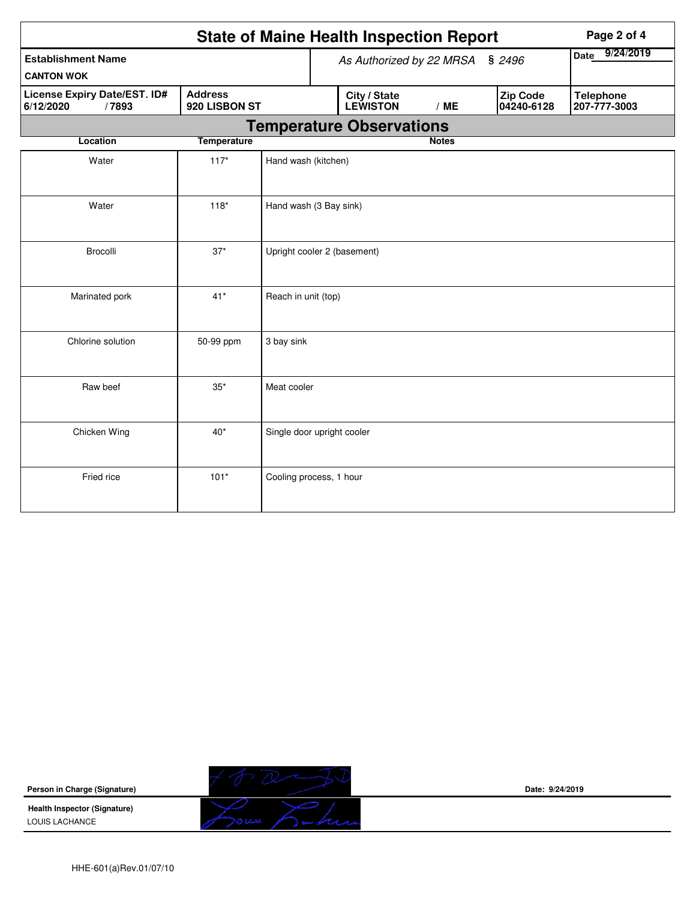|                                                    |                                 |                            | <b>State of Maine Health Inspection Report</b> |              |                        | Page 2 of 4                      |
|----------------------------------------------------|---------------------------------|----------------------------|------------------------------------------------|--------------|------------------------|----------------------------------|
| <b>Establishment Name</b><br><b>CANTON WOK</b>     |                                 |                            | As Authorized by 22 MRSA § 2496                |              |                        | 9/24/2019<br><b>Date</b>         |
| License Expiry Date/EST. ID#<br>6/12/2020<br>/7893 | <b>Address</b><br>920 LISBON ST |                            | City / State<br><b>LEWISTON</b>                | /ME          | Zip Code<br>04240-6128 | <b>Telephone</b><br>207-777-3003 |
|                                                    |                                 |                            | <b>Temperature Observations</b>                |              |                        |                                  |
| <b>Location</b>                                    | <b>Temperature</b>              |                            |                                                | <b>Notes</b> |                        |                                  |
| Water                                              | $117*$                          | Hand wash (kitchen)        |                                                |              |                        |                                  |
| Water                                              | $118*$                          | Hand wash (3 Bay sink)     |                                                |              |                        |                                  |
| Brocolli                                           | $37*$                           |                            | Upright cooler 2 (basement)                    |              |                        |                                  |
| Marinated pork                                     | $41*$                           | Reach in unit (top)        |                                                |              |                        |                                  |
| Chlorine solution                                  | 50-99 ppm                       | 3 bay sink                 |                                                |              |                        |                                  |
| Raw beef                                           | $35^{\ast}$                     | Meat cooler                |                                                |              |                        |                                  |
| Chicken Wing                                       | $40*$                           | Single door upright cooler |                                                |              |                        |                                  |
| Fried rice                                         | $101*$                          | Cooling process, 1 hour    |                                                |              |                        |                                  |



LOUIS LACHANCE



**Date: 9/24/2019**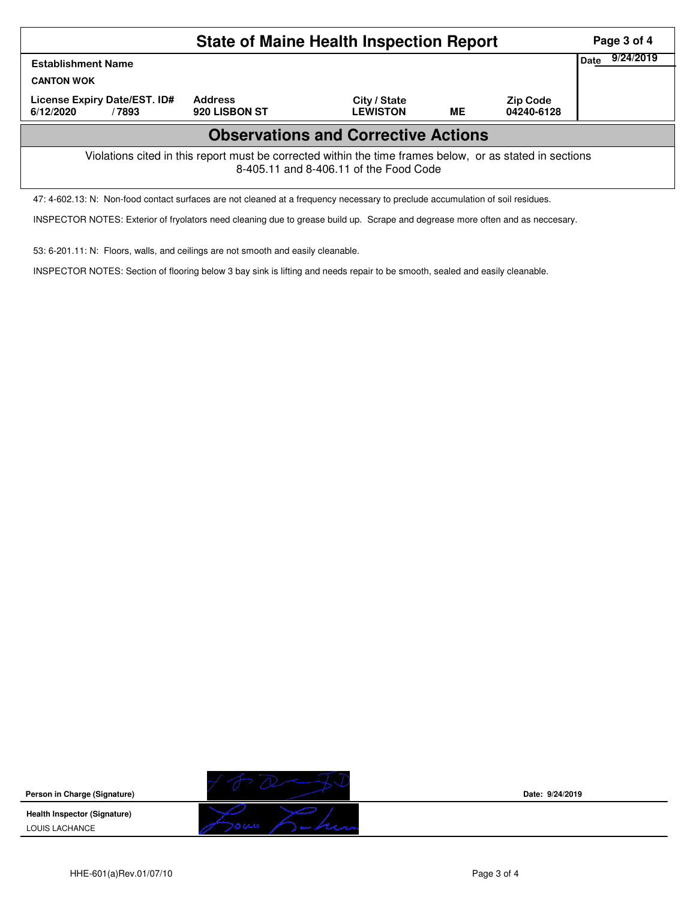|                                                                                                                                                    |                                 | Page 3 of 4                     |           |                               |  |  |  |  |  |
|----------------------------------------------------------------------------------------------------------------------------------------------------|---------------------------------|---------------------------------|-----------|-------------------------------|--|--|--|--|--|
| <b>Establishment Name</b>                                                                                                                          | <b>Date</b>                     | 9/24/2019                       |           |                               |  |  |  |  |  |
| <b>CANTON WOK</b>                                                                                                                                  |                                 |                                 |           |                               |  |  |  |  |  |
| License Expiry Date/EST. ID#<br>6/12/2020<br>/7893                                                                                                 | <b>Address</b><br>920 LISBON ST | City / State<br><b>LEWISTON</b> | <b>ME</b> | <b>Zip Code</b><br>04240-6128 |  |  |  |  |  |
| <b>Observations and Corrective Actions</b>                                                                                                         |                                 |                                 |           |                               |  |  |  |  |  |
| Violations cited in this report must be corrected within the time frames below, or as stated in sections<br>8-405.11 and 8-406.11 of the Food Code |                                 |                                 |           |                               |  |  |  |  |  |

47: 4-602.13: N: Non-food contact surfaces are not cleaned at a frequency necessary to preclude accumulation of soil residues.

INSPECTOR NOTES: Exterior of fryolators need cleaning due to grease build up. Scrape and degrease more often and as neccesary.

53: 6-201.11: N: Floors, walls, and ceilings are not smooth and easily cleanable.

INSPECTOR NOTES: Section of flooring below 3 bay sink is lifting and needs repair to be smooth, sealed and easily cleanable.

**Person in Charge (Signature)**

**Health Inspector (Signature)**  LOUIS LACHANCE



**Date: 9/24/2019**